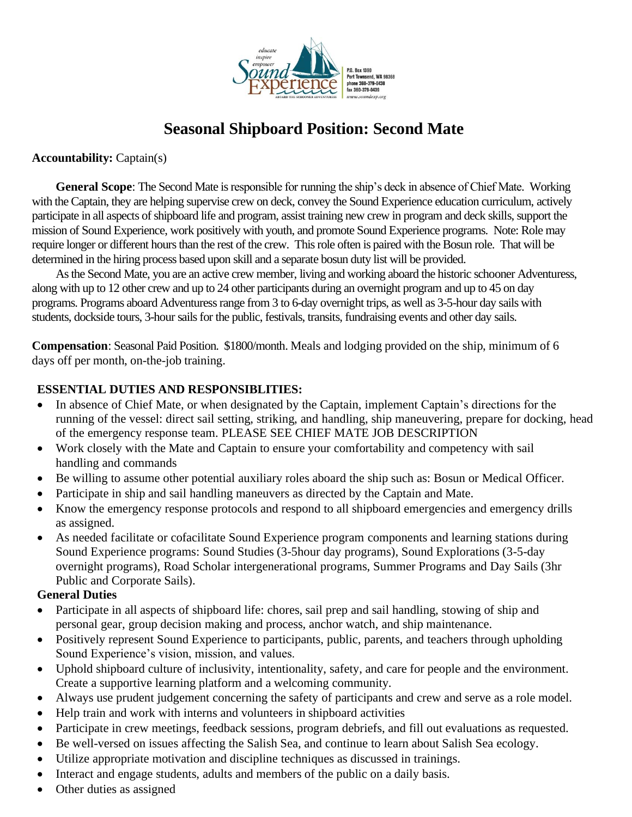

# **Seasonal Shipboard Position: Second Mate**

**Accountability:** Captain(s)

**General Scope**: The Second Mate is responsible for running the ship's deck in absence of Chief Mate. Working with the Captain, they are helping supervise crew on deck, convey the Sound Experience education curriculum, actively participate in all aspects of shipboard life and program, assist training new crew in program and deck skills, support the mission of Sound Experience, work positively with youth, and promote Sound Experience programs. Note: Role may require longer or different hours than the rest of the crew. This role often is paired with the Bosun role. That will be determined in the hiring process based upon skill and a separate bosun duty list will be provided.

As the Second Mate, you are an active crew member, living and working aboard the historic schooner Adventuress, along with up to 12 other crew and up to 24 other participants during an overnight program and up to 45 on day programs. Programs aboard Adventuress range from 3 to 6-day overnight trips, as well as 3-5-hour day sails with students, dockside tours, 3-hour sails for the public, festivals, transits, fundraising events and other day sails.

**Compensation**: Seasonal Paid Position. \$1800/month. Meals and lodging provided on the ship, minimum of 6 days off per month, on-the-job training.

### **ESSENTIAL DUTIES AND RESPONSIBLITIES:**

- In absence of Chief Mate, or when designated by the Captain, implement Captain's directions for the running of the vessel: direct sail setting, striking, and handling, ship maneuvering, prepare for docking, head of the emergency response team. PLEASE SEE CHIEF MATE JOB DESCRIPTION
- Work closely with the Mate and Captain to ensure your comfortability and competency with sail handling and commands
- Be willing to assume other potential auxiliary roles aboard the ship such as: Bosun or Medical Officer.
- Participate in ship and sail handling maneuvers as directed by the Captain and Mate.
- Know the emergency response protocols and respond to all shipboard emergencies and emergency drills as assigned.
- As needed facilitate or cofacilitate Sound Experience program components and learning stations during Sound Experience programs: Sound Studies (3-5hour day programs), Sound Explorations (3-5-day overnight programs), Road Scholar intergenerational programs, Summer Programs and Day Sails (3hr Public and Corporate Sails).

#### **General Duties**

- Participate in all aspects of shipboard life: chores, sail prep and sail handling, stowing of ship and personal gear, group decision making and process, anchor watch, and ship maintenance.
- Positively represent Sound Experience to participants, public, parents, and teachers through upholding Sound Experience's vision, mission, and values.
- Uphold shipboard culture of inclusivity, intentionality, safety, and care for people and the environment. Create a supportive learning platform and a welcoming community.
- Always use prudent judgement concerning the safety of participants and crew and serve as a role model.
- Help train and work with interns and volunteers in shipboard activities
- Participate in crew meetings, feedback sessions, program debriefs, and fill out evaluations as requested.
- Be well-versed on issues affecting the Salish Sea, and continue to learn about Salish Sea ecology.
- Utilize appropriate motivation and discipline techniques as discussed in trainings.
- Interact and engage students, adults and members of the public on a daily basis.
- Other duties as assigned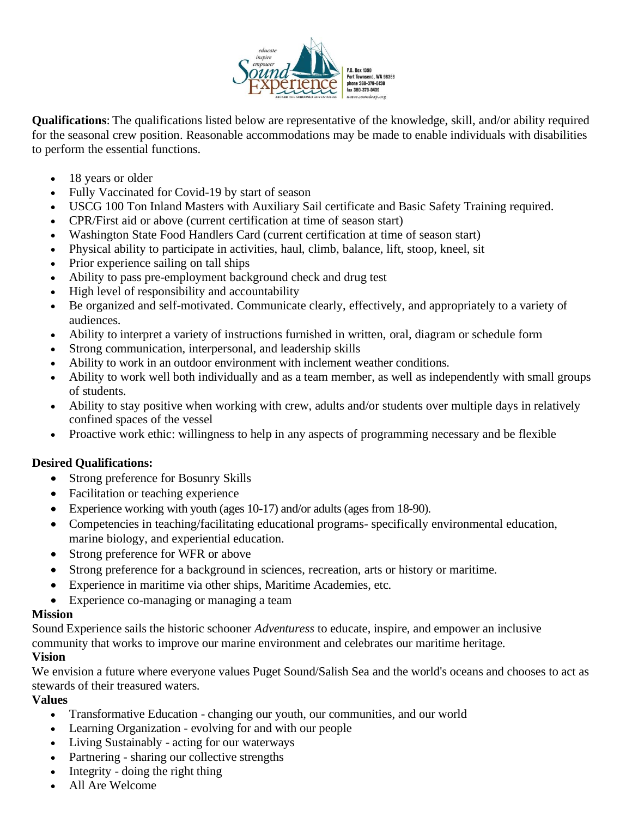

**Qualifications**: The qualifications listed below are representative of the knowledge, skill, and/or ability required for the seasonal crew position. Reasonable accommodations may be made to enable individuals with disabilities to perform the essential functions.

- 18 years or older
- Fully Vaccinated for Covid-19 by start of season
- USCG 100 Ton Inland Masters with Auxiliary Sail certificate and Basic Safety Training required.
- CPR/First aid or above (current certification at time of season start)
- Washington State Food Handlers Card (current certification at time of season start)
- Physical ability to participate in activities, haul, climb, balance, lift, stoop, kneel, sit
- Prior experience sailing on tall ships
- Ability to pass pre-employment background check and drug test
- High level of responsibility and accountability
- Be organized and self-motivated. Communicate clearly, effectively, and appropriately to a variety of audiences.
- Ability to interpret a variety of instructions furnished in written, oral, diagram or schedule form
- Strong communication, interpersonal, and leadership skills
- Ability to work in an outdoor environment with inclement weather conditions.
- Ability to work well both individually and as a team member, as well as independently with small groups of students.
- Ability to stay positive when working with crew, adults and/or students over multiple days in relatively confined spaces of the vessel
- Proactive work ethic: willingness to help in any aspects of programming necessary and be flexible

#### **Desired Qualifications:**

- Strong preference for Bosunry Skills
- Facilitation or teaching experience
- Experience working with youth (ages 10-17) and/or adults (ages from 18-90).
- Competencies in teaching/facilitating educational programs- specifically environmental education, marine biology, and experiential education.
- Strong preference for WFR or above
- Strong preference for a background in sciences, recreation, arts or history or maritime.
- Experience in maritime via other ships, Maritime Academies, etc.
- Experience co-managing or managing a team

#### **Mission**

Sound Experience sails the historic schooner *Adventuress* to educate, inspire, and empower an inclusive community that works to improve our marine environment and celebrates our maritime heritage.

## **Vision**

We envision a future where everyone values Puget Sound/Salish Sea and the world's oceans and chooses to act as stewards of their treasured waters.

## **Values**

- Transformative Education changing our youth, our communities, and our world
- Learning Organization evolving for and with our people
- Living Sustainably acting for our waterways
- Partnering sharing our collective strengths
- Integrity doing the right thing
- All Are Welcome